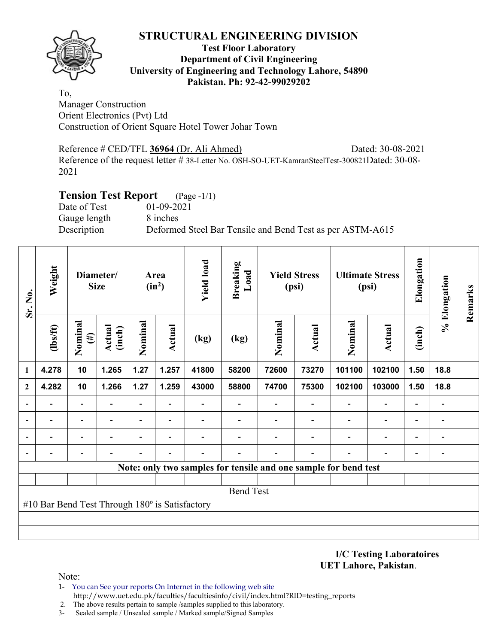

### **Test Floor Laboratory Department of Civil Engineering University of Engineering and Technology Lahore, 54890 Pakistan. Ph: 92-42-99029202**

To, Manager Construction Orient Electronics (Pvt) Ltd Construction of Orient Square Hotel Tower Johar Town

Reference # CED/TFL **36964** (Dr. Ali Ahmed) Dated: 30-08-2021 Reference of the request letter # 38-Letter No. OSH-SO-UET-KamranSteelTest-300821Dated: 30-08- 2021

# **Tension Test Report** (Page -1/1)

Date of Test 01-09-2021 Gauge length 8 inches

Description Deformed Steel Bar Tensile and Bend Test as per ASTM-A615

| Sr. No.      | Weight                                         |                   | Diameter/<br><b>Size</b> |                          | Area<br>$(in^2)$         | <b>Yield load</b> | <b>Breaking</b><br>Load                                         |         | <b>Yield Stress</b><br>(psi) |                          | <b>Ultimate Stress</b><br>(psi) | Elongation               | % Elongation             | Remarks |
|--------------|------------------------------------------------|-------------------|--------------------------|--------------------------|--------------------------|-------------------|-----------------------------------------------------------------|---------|------------------------------|--------------------------|---------------------------------|--------------------------|--------------------------|---------|
|              | (1bs/ft)                                       | Nominal<br>$(\#)$ | Actual<br>(inch)         | Nominal                  | Actual                   | (kg)              | (kg)                                                            | Nominal | Actual                       | Nominal                  | Actual                          | (inch)                   |                          |         |
| 1            | 4.278                                          | 10                | 1.265                    | 1.27                     | 1.257                    | 41800             | 58200                                                           | 72600   | 73270                        | 101100                   | 102100                          | 1.50                     | 18.8                     |         |
| $\mathbf{2}$ | 4.282                                          | 10                | 1.266                    | 1.27                     | 1.259                    | 43000             | 58800                                                           | 74700   | 75300                        | 102100                   | 103000                          | 1.50                     | 18.8                     |         |
|              |                                                |                   |                          | $\overline{\phantom{0}}$ |                          |                   |                                                                 |         |                              |                          |                                 | $\overline{a}$           |                          |         |
|              |                                                |                   |                          | $\overline{\phantom{0}}$ |                          |                   |                                                                 |         |                              |                          | $\qquad \qquad \blacksquare$    | -                        |                          |         |
|              |                                                |                   | $\overline{\phantom{0}}$ | $\overline{\phantom{a}}$ | $\overline{\phantom{a}}$ |                   |                                                                 |         |                              | $\overline{\phantom{0}}$ | $\overline{\phantom{0}}$        | $\overline{\phantom{0}}$ | $\overline{\phantom{0}}$ |         |
|              |                                                |                   |                          |                          |                          |                   |                                                                 |         |                              |                          |                                 | -                        |                          |         |
|              |                                                |                   |                          |                          |                          |                   | Note: only two samples for tensile and one sample for bend test |         |                              |                          |                                 |                          |                          |         |
|              |                                                |                   |                          |                          |                          |                   |                                                                 |         |                              |                          |                                 |                          |                          |         |
|              |                                                |                   |                          |                          |                          |                   | <b>Bend Test</b>                                                |         |                              |                          |                                 |                          |                          |         |
|              | #10 Bar Bend Test Through 180° is Satisfactory |                   |                          |                          |                          |                   |                                                                 |         |                              |                          |                                 |                          |                          |         |
|              |                                                |                   |                          |                          |                          |                   |                                                                 |         |                              |                          |                                 |                          |                          |         |
|              |                                                |                   |                          |                          |                          |                   |                                                                 |         |                              |                          |                                 |                          |                          |         |

### **I/C Testing Laboratoires UET Lahore, Pakistan**.

- 1- You can See your reports On Internet in the following web site http://www.uet.edu.pk/faculties/facultiesinfo/civil/index.html?RID=testing\_reports
- 2. The above results pertain to sample /samples supplied to this laboratory.
- 3- Sealed sample / Unsealed sample / Marked sample/Signed Samples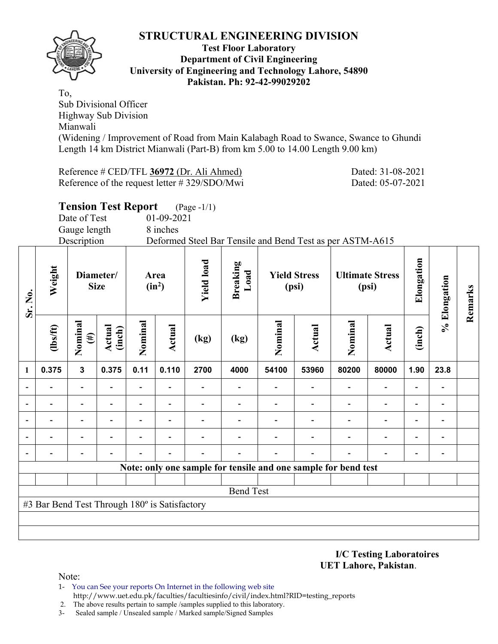

### **Test Floor Laboratory Department of Civil Engineering University of Engineering and Technology Lahore, 54890 Pakistan. Ph: 92-42-99029202**

To, Sub Divisional Officer Highway Sub Division Mianwali (Widening / Improvement of Road from Main Kalabagh Road to Swance, Swance to Ghundi Length 14 km District Mianwali (Part-B) from km 5.00 to 14.00 Length 9.00 km)

Reference # CED/TFL **36972** (Dr. Ali Ahmed) Dated: 31-08-2021 Reference of the request letter # 329/SDO/Mwi Dated: 05-07-2021

|                          |                                               | Date of Test<br>Gauge length<br>Description | <b>Tension Test Report</b> |         | 01-09-2021<br>8 inches | $(Page - 1/1)$    | Deformed Steel Bar Tensile and Bend Test as per ASTM-A615      |         |                              |         |                                 |                          |                          |         |
|--------------------------|-----------------------------------------------|---------------------------------------------|----------------------------|---------|------------------------|-------------------|----------------------------------------------------------------|---------|------------------------------|---------|---------------------------------|--------------------------|--------------------------|---------|
| Sr. No.                  | Weight                                        | Diameter/<br><b>Size</b>                    |                            |         | Area<br>$(in^2)$       | <b>Yield load</b> | <b>Breaking</b><br>Load                                        |         | <b>Yield Stress</b><br>(psi) |         | <b>Ultimate Stress</b><br>(psi) | Elongation               | % Elongation             | Remarks |
|                          | $lbsft$                                       | Nominal<br>$(\#)$                           | Actual<br>(inch)           | Nominal | Actual                 | (kg)              | (kg)                                                           | Nominal | Actual                       | Nominal | <b>Actual</b>                   | (inch)                   |                          |         |
| $\mathbf{1}$             | 0.375                                         | $\mathbf{3}$                                | 0.375                      | 0.11    | 0.110                  | 2700              | 4000                                                           | 54100   | 53960                        | 80200   | 80000                           | 1.90                     | 23.8                     |         |
|                          |                                               |                                             |                            |         |                        |                   |                                                                |         |                              |         |                                 | $\blacksquare$           | $\overline{a}$           |         |
|                          |                                               |                                             |                            |         |                        |                   |                                                                |         |                              |         |                                 |                          | $\overline{a}$           |         |
| $\overline{\phantom{a}}$ |                                               | $\overline{\phantom{0}}$                    |                            |         |                        |                   |                                                                |         |                              |         | $\overline{\phantom{0}}$        | $\overline{\phantom{0}}$ | $\blacksquare$           |         |
| $\overline{\phantom{a}}$ |                                               |                                             |                            |         |                        |                   |                                                                |         |                              |         |                                 |                          | $\overline{\phantom{0}}$ |         |
|                          |                                               | $\blacksquare$                              |                            |         |                        |                   |                                                                |         |                              |         |                                 |                          | $\blacksquare$           |         |
|                          |                                               |                                             |                            |         |                        |                   | Note: only one sample for tensile and one sample for bend test |         |                              |         |                                 |                          |                          |         |
|                          |                                               |                                             |                            |         |                        |                   | <b>Bend Test</b>                                               |         |                              |         |                                 |                          |                          |         |
|                          | #3 Bar Bend Test Through 180° is Satisfactory |                                             |                            |         |                        |                   |                                                                |         |                              |         |                                 |                          |                          |         |

**I/C Testing Laboratoires UET Lahore, Pakistan**.

- 1- You can See your reports On Internet in the following web site http://www.uet.edu.pk/faculties/facultiesinfo/civil/index.html?RID=testing\_reports
- 2. The above results pertain to sample /samples supplied to this laboratory.
- 3- Sealed sample / Unsealed sample / Marked sample/Signed Samples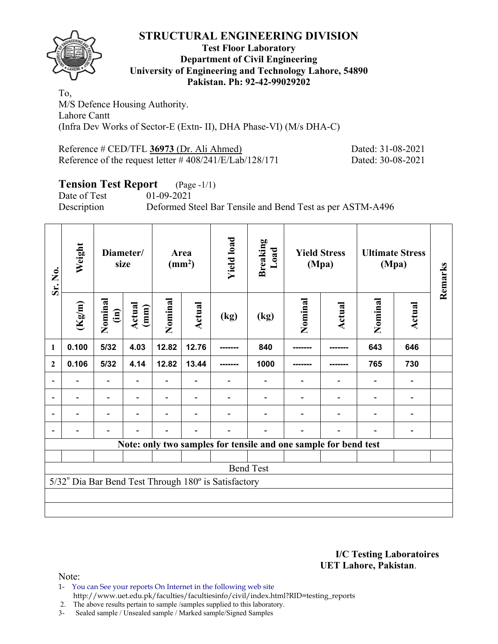

### **Test Floor Laboratory Department of Civil Engineering University of Engineering and Technology Lahore, 54890 Pakistan. Ph: 92-42-99029202**

To, M/S Defence Housing Authority. Lahore Cantt (Infra Dev Works of Sector-E (Extn- II), DHA Phase-VI) (M/s DHA-C)

Reference # CED/TFL **36973** (Dr. Ali Ahmed) Dated: 31-08-2021 Reference of the request letter # 408/241/E/Lab/128/171 Dated: 30-08-2021

# **Tension Test Report** (Page -1/1)<br>Date of Test 01-09-2021

Date of Test

Description Deformed Steel Bar Tensile and Bend Test as per ASTM-A496

| Sr. No.                  | Weight            | size                    | Diameter/      |         | Area<br>$\text{ (mm}^2\text{)}$ | <b>Yield load</b>                                    | Breaking<br>Load                                                |         | <b>Yield Stress</b><br>(Mpa) |         | <b>Ultimate Stress</b><br>(Mpa) | Remarks |
|--------------------------|-------------------|-------------------------|----------------|---------|---------------------------------|------------------------------------------------------|-----------------------------------------------------------------|---------|------------------------------|---------|---------------------------------|---------|
|                          | $(\mathrm{Kg/m})$ | Nominal<br>$\mathbf{m}$ | Actual<br>(mm) | Nominal | Actual                          | (kg)                                                 | (kg)                                                            | Nominal | Actual                       | Nominal | Actual                          |         |
| 1                        | 0.100             | 5/32                    | 4.03           | 12.82   | 12.76                           |                                                      | 840                                                             |         |                              | 643     | 646                             |         |
| $\mathbf{2}$             | 0.106             | $5/32$                  | 4.14           | 12.82   | 13.44                           |                                                      | 1000                                                            |         |                              | 765     | 730                             |         |
|                          |                   |                         |                |         |                                 |                                                      |                                                                 |         |                              |         |                                 |         |
| $\overline{\phantom{0}}$ |                   |                         |                |         |                                 |                                                      | $\qquad \qquad \blacksquare$                                    |         |                              |         |                                 |         |
|                          |                   |                         |                |         |                                 |                                                      | ۰                                                               |         |                              |         |                                 |         |
|                          |                   |                         |                |         |                                 |                                                      |                                                                 |         |                              |         |                                 |         |
|                          |                   |                         |                |         |                                 |                                                      | Note: only two samples for tensile and one sample for bend test |         |                              |         |                                 |         |
|                          |                   |                         |                |         |                                 |                                                      |                                                                 |         |                              |         |                                 |         |
|                          |                   |                         |                |         |                                 |                                                      | <b>Bend Test</b>                                                |         |                              |         |                                 |         |
|                          |                   |                         |                |         |                                 | 5/32" Dia Bar Bend Test Through 180° is Satisfactory |                                                                 |         |                              |         |                                 |         |
|                          |                   |                         |                |         |                                 |                                                      |                                                                 |         |                              |         |                                 |         |
|                          |                   |                         |                |         |                                 |                                                      |                                                                 |         |                              |         |                                 |         |

**I/C Testing Laboratoires UET Lahore, Pakistan**.

Note:

1- You can See your reports On Internet in the following web site http://www.uet.edu.pk/faculties/facultiesinfo/civil/index.html?RID=testing\_reports

2. The above results pertain to sample /samples supplied to this laboratory.

3- Sealed sample / Unsealed sample / Marked sample/Signed Samples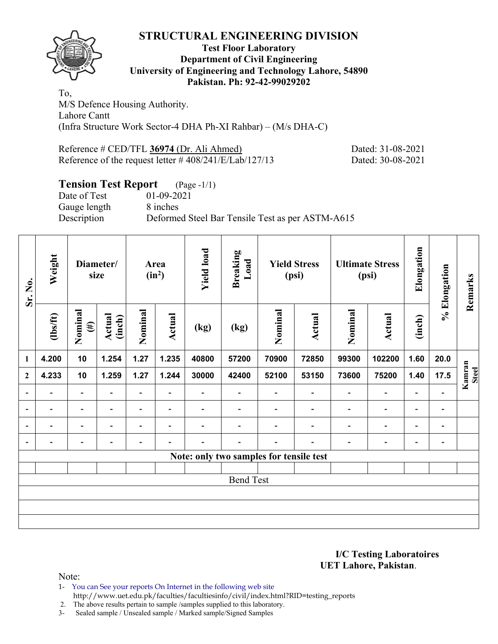

### **Test Floor Laboratory Department of Civil Engineering University of Engineering and Technology Lahore, 54890 Pakistan. Ph: 92-42-99029202**

To, M/S Defence Housing Authority. Lahore Cantt (Infra Structure Work Sector-4 DHA Ph-XI Rahbar) – (M/s DHA-C)

Reference # CED/TFL **36974** (Dr. Ali Ahmed) Dated: 31-08-2021 Reference of the request letter # 408/241/E/Lab/127/13 Dated: 30-08-2021

# **Tension Test Report** (Page -1/1)

Date of Test 01-09-2021 Gauge length 8 inches

Description Deformed Steel Bar Tensile Test as per ASTM-A615

| Sr. No.                  | Weight                   |                          | Diameter/<br>size |                          | Area<br>$(in^2)$         | <b>Yield load</b>        | <b>Breaking</b><br>Load                 |                          | <b>Yield Stress</b><br>(psi) |                          | <b>Ultimate Stress</b><br>(psi) | Elongation               | % Elongation   | Remarks                |
|--------------------------|--------------------------|--------------------------|-------------------|--------------------------|--------------------------|--------------------------|-----------------------------------------|--------------------------|------------------------------|--------------------------|---------------------------------|--------------------------|----------------|------------------------|
|                          | $\frac{2}{10}$           | Nominal<br>$(\#)$        | Actual<br>(inch)  | Nominal                  | Actual                   | (kg)                     | (kg)                                    | Nominal                  | Actual                       | Nominal                  | Actual                          | (inch)                   |                |                        |
| 1                        | 4.200                    | 10                       | 1.254             | 1.27                     | 1.235                    | 40800                    | 57200                                   | 70900                    | 72850                        | 99300                    | 102200                          | 1.60                     | 20.0           |                        |
| $\mathbf{2}$             | 4.233                    | 10                       | 1.259             | 1.27                     | 1.244                    | 30000                    | 42400                                   | 52100                    | 53150                        | 73600                    | 75200                           | 1.40                     | 17.5           | Kamran<br><b>Steel</b> |
| $\overline{\phantom{a}}$ | $\overline{\phantom{0}}$ | $\overline{\phantom{a}}$ |                   | $\overline{\phantom{a}}$ | $\blacksquare$           |                          |                                         |                          | ۰                            | $\overline{\phantom{0}}$ | $\overline{\phantom{a}}$        | $\blacksquare$           |                |                        |
| $\blacksquare$           | -                        | $\blacksquare$           | $\blacksquare$    | $\blacksquare$           | $\overline{\phantom{a}}$ | $\overline{\phantom{0}}$ | $\qquad \qquad \blacksquare$            | $\overline{\phantom{0}}$ | $\overline{\phantom{a}}$     | $\overline{\phantom{a}}$ | $\overline{\phantom{a}}$        | $\blacksquare$           | $\blacksquare$ |                        |
| $\overline{a}$           |                          | $\overline{\phantom{0}}$ |                   |                          |                          |                          |                                         |                          |                              | $\overline{\phantom{0}}$ | $\overline{\phantom{a}}$        | -                        | $\overline{a}$ |                        |
| $\overline{a}$           |                          | $\overline{\phantom{0}}$ |                   |                          | ۰                        |                          |                                         |                          |                              |                          | $\overline{\phantom{0}}$        | $\overline{\phantom{0}}$ | $\blacksquare$ |                        |
|                          |                          |                          |                   |                          |                          |                          | Note: only two samples for tensile test |                          |                              |                          |                                 |                          |                |                        |
|                          |                          |                          |                   |                          |                          |                          |                                         |                          |                              |                          |                                 |                          |                |                        |
|                          |                          |                          |                   |                          |                          |                          | <b>Bend Test</b>                        |                          |                              |                          |                                 |                          |                |                        |
|                          |                          |                          |                   |                          |                          |                          |                                         |                          |                              |                          |                                 |                          |                |                        |
|                          |                          |                          |                   |                          |                          |                          |                                         |                          |                              |                          |                                 |                          |                |                        |
|                          |                          |                          |                   |                          |                          |                          |                                         |                          |                              |                          |                                 |                          |                |                        |

### **I/C Testing Laboratoires UET Lahore, Pakistan**.

Note:

1- You can See your reports On Internet in the following web site http://www.uet.edu.pk/faculties/facultiesinfo/civil/index.html?RID=testing\_reports

2. The above results pertain to sample /samples supplied to this laboratory.

3- Sealed sample / Unsealed sample / Marked sample/Signed Samples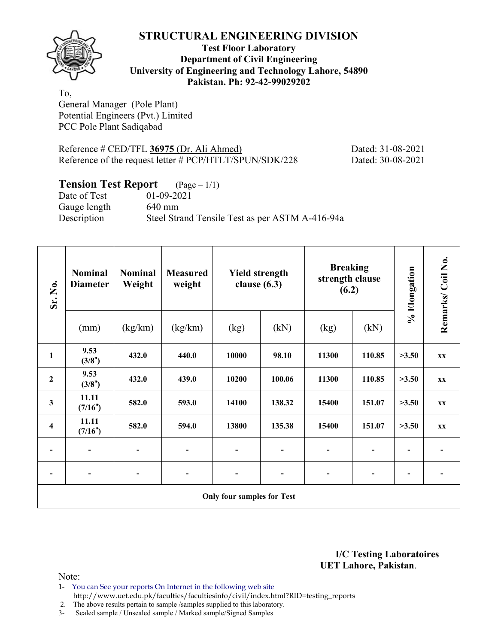

### **Test Floor Laboratory Department of Civil Engineering University of Engineering and Technology Lahore, 54890 Pakistan. Ph: 92-42-99029202**

To, General Manager (Pole Plant) Potential Engineers (Pvt.) Limited PCC Pole Plant Sadiqabad

Reference # CED/TFL **36975** (Dr. Ali Ahmed) Dated: 31-08-2021 Reference of the request letter # PCP/HTLT/SPUN/SDK/228 Dated: 30-08-2021

# **Tension Test Report** (Page – 1/1)

Date of Test 01-09-2021 Gauge length 640 mm Description Steel Strand Tensile Test as per ASTM A-416-94a

| Sr. No.                 | <b>Nominal</b><br><b>Diameter</b> | <b>Nominal</b><br>Weight | <b>Measured</b><br>weight | <b>Yield strength</b><br>clause $(6.3)$ |        | <b>Breaking</b><br>strength clause<br>(6.2) |                | % Elongation   | Remarks/Coil No. |
|-------------------------|-----------------------------------|--------------------------|---------------------------|-----------------------------------------|--------|---------------------------------------------|----------------|----------------|------------------|
|                         | (mm)                              | (kg/km)                  | (kg/km)                   | (kg)                                    | (kN)   | (kg)                                        | (kN)           |                |                  |
| 1                       | 9.53<br>(3/8")                    | 432.0                    | 440.0                     | 10000                                   | 98.10  | 11300                                       | 110.85         | >3.50          | <b>XX</b>        |
| $\boldsymbol{2}$        | 9.53<br>(3/8")                    | 432.0                    | 439.0                     | 10200                                   | 100.06 | 11300                                       | 110.85         | >3.50          | <b>XX</b>        |
| 3                       | 11.11<br>(7/16")                  | 582.0                    | 593.0                     | 14100                                   | 138.32 | 15400                                       | 151.07         | >3.50          | <b>XX</b>        |
| $\overline{\mathbf{4}}$ | 11.11<br>(7/16")                  | 582.0                    | 594.0                     | 13800                                   | 135.38 | 15400                                       | 151.07         | >3.50          | <b>XX</b>        |
|                         |                                   |                          | -                         |                                         |        |                                             |                |                |                  |
|                         |                                   |                          | -                         |                                         |        | $\overline{\phantom{a}}$                    | $\overline{a}$ | $\blacksquare$ |                  |
|                         |                                   |                          |                           | <b>Only four samples for Test</b>       |        |                                             |                |                |                  |

**I/C Testing Laboratoires UET Lahore, Pakistan**.

- 1- You can See your reports On Internet in the following web site http://www.uet.edu.pk/faculties/facultiesinfo/civil/index.html?RID=testing\_reports
- 2. The above results pertain to sample /samples supplied to this laboratory.
- 3- Sealed sample / Unsealed sample / Marked sample/Signed Samples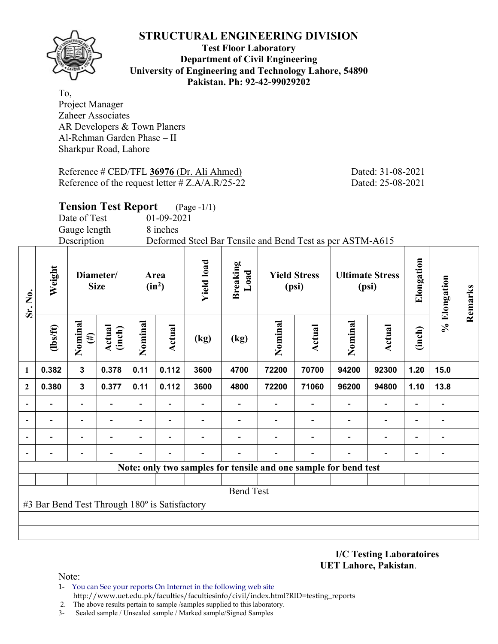**Test Floor Laboratory Department of Civil Engineering University of Engineering and Technology Lahore, 54890 Pakistan. Ph: 92-42-99029202** 

To, Project Manager Zaheer Associates AR Developers & Town Planers Al-Rehman Garden Phase – II Sharkpur Road, Lahore

Reference # CED/TFL **36976** (Dr. Ali Ahmed) Dated: 31-08-2021 Reference of the request letter # Z.A/A.R/25-22 Dated: 25-08-2021

|                              |                                               | <b>Tension Test Report</b> |                          |         |                  | $(Page - 1/1)$    |                                                                 |         |                              |         |                                 |            |              |         |
|------------------------------|-----------------------------------------------|----------------------------|--------------------------|---------|------------------|-------------------|-----------------------------------------------------------------|---------|------------------------------|---------|---------------------------------|------------|--------------|---------|
|                              |                                               | Date of Test               |                          |         | 01-09-2021       |                   |                                                                 |         |                              |         |                                 |            |              |         |
|                              |                                               | Gauge length               |                          |         | 8 inches         |                   |                                                                 |         |                              |         |                                 |            |              |         |
|                              |                                               | Description                |                          |         |                  |                   | Deformed Steel Bar Tensile and Bend Test as per ASTM-A615       |         |                              |         |                                 |            |              |         |
| Sr. No.                      | Weight                                        |                            | Diameter/<br><b>Size</b> |         | Area<br>$(in^2)$ | <b>Yield load</b> | <b>Breaking</b><br>Load                                         |         | <b>Yield Stress</b><br>(psi) |         | <b>Ultimate Stress</b><br>(psi) | Elongation | % Elongation | Remarks |
|                              | $\frac{2}{10}$                                | Nominal<br>$(\#)$          | Actual<br>(inch)         | Nominal | Actual           | (kg)              | (kg)                                                            | Nominal | Actual                       | Nominal | Actual                          | (inch)     |              |         |
| $\mathbf{1}$                 | 0.382                                         | $\mathbf{3}$               | 0.378                    | 0.11    | 0.112            | 3600              | 4700                                                            | 72200   | 70700                        | 94200   | 92300                           | 1.20       | 15.0         |         |
| $\mathbf{2}$                 | 0.380                                         | 3                          | 0.377                    | 0.11    | 0.112            | 3600              | 4800                                                            | 72200   | 71060                        | 96200   | 94800                           | 1.10       | 13.8         |         |
| $\overline{\phantom{a}}$     |                                               |                            |                          |         |                  |                   |                                                                 |         |                              |         |                                 |            |              |         |
| $\qquad \qquad \blacksquare$ |                                               |                            |                          |         |                  |                   |                                                                 |         |                              |         |                                 |            |              |         |
|                              |                                               |                            |                          |         |                  |                   |                                                                 |         |                              |         |                                 |            |              |         |
|                              |                                               |                            |                          |         |                  |                   |                                                                 |         |                              |         |                                 |            |              |         |
|                              |                                               |                            |                          |         |                  |                   | Note: only two samples for tensile and one sample for bend test |         |                              |         |                                 |            |              |         |
|                              |                                               |                            |                          |         |                  |                   |                                                                 |         |                              |         |                                 |            |              |         |
|                              |                                               |                            |                          |         |                  |                   | <b>Bend Test</b>                                                |         |                              |         |                                 |            |              |         |
|                              | #3 Bar Bend Test Through 180° is Satisfactory |                            |                          |         |                  |                   |                                                                 |         |                              |         |                                 |            |              |         |

**I/C Testing Laboratoires UET Lahore, Pakistan**.

- 1- You can See your reports On Internet in the following web site http://www.uet.edu.pk/faculties/facultiesinfo/civil/index.html?RID=testing\_reports
- 2. The above results pertain to sample /samples supplied to this laboratory.
- 3- Sealed sample / Unsealed sample / Marked sample/Signed Samples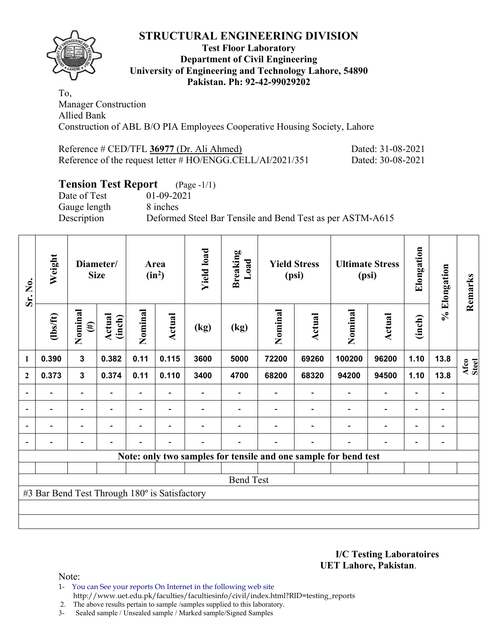

### **Test Floor Laboratory Department of Civil Engineering University of Engineering and Technology Lahore, 54890 Pakistan. Ph: 92-42-99029202**

To, Manager Construction Allied Bank Construction of ABL B/O PIA Employees Cooperative Housing Society, Lahore

| Reference # CED/TFL 36977 (Dr. Ali Ahmed)                     | Dated: 31-08-2021 |
|---------------------------------------------------------------|-------------------|
| Reference of the request letter $\# HO/ENGG.CELL/AI/2021/351$ | Dated: 30-08-2021 |

# **Tension Test Report** (Page -1/1)

Date of Test 01-09-2021 Gauge length 8 inches

Description Deformed Steel Bar Tensile and Bend Test as per ASTM-A615

| Sr. No.                  | Weight                                        |                              | Diameter/<br><b>Size</b> |                          | Area<br>$(in^2)$         | <b>Yield load</b>        | <b>Breaking</b><br>Load |         | <b>Yield Stress</b><br>(psi) |                                                                 | <b>Ultimate Stress</b><br>(psi) | Elongation               | % Elongation                 | Remarks       |
|--------------------------|-----------------------------------------------|------------------------------|--------------------------|--------------------------|--------------------------|--------------------------|-------------------------|---------|------------------------------|-----------------------------------------------------------------|---------------------------------|--------------------------|------------------------------|---------------|
|                          | (1bs/ft)                                      | Nominal<br>$(\ddot{\sharp})$ | <b>Actual</b><br>(inch)  | Nominal                  | Actual                   | (kg)                     | (kg)                    | Nominal | Actual                       | Nominal                                                         | Actual                          | (inch)                   |                              |               |
| $\mathbf{1}$             | 0.390                                         | $\overline{\mathbf{3}}$      | 0.382                    | 0.11                     | 0.115                    | 3600                     | 5000                    | 72200   | 69260                        | 100200                                                          | 96200                           | 1.10                     | 13.8                         | Afco<br>Steel |
| $\mathbf{2}$             | 0.373                                         | $\mathbf{3}$                 | 0.374                    | 0.11                     | 0.110                    | 3400                     | 4700                    | 68200   | 68320                        | 94200                                                           | 94500                           | 1.10                     | 13.8                         |               |
| $\blacksquare$           |                                               | Ξ.                           |                          |                          |                          |                          |                         |         |                              |                                                                 | $\blacksquare$                  | $\overline{\phantom{0}}$ |                              |               |
| $\overline{\phantom{a}}$ | $\overline{\phantom{0}}$                      | $\blacksquare$               | $\overline{\phantom{a}}$ | $\overline{\phantom{0}}$ | $\overline{\phantom{a}}$ | $\overline{\phantom{0}}$ |                         |         | $\overline{\phantom{a}}$     | $\overline{\phantom{a}}$                                        | $\overline{\phantom{a}}$        | $\overline{\phantom{a}}$ | $\blacksquare$               |               |
| $\overline{\phantom{0}}$ | -                                             | $\overline{\phantom{a}}$     | $\overline{\phantom{0}}$ | -                        | $\overline{\phantom{0}}$ |                          |                         |         |                              | ٠                                                               | $\overline{\phantom{0}}$        | $\overline{\phantom{0}}$ | $\qquad \qquad \blacksquare$ |               |
|                          | -                                             | Ξ.                           | $\overline{\phantom{0}}$ | $\overline{\phantom{0}}$ | $\overline{\phantom{a}}$ | $\overline{\phantom{0}}$ | -                       |         | $\overline{\phantom{0}}$     | $\blacksquare$                                                  | $\blacksquare$                  | $\overline{\phantom{a}}$ | $\qquad \qquad \blacksquare$ |               |
|                          |                                               |                              |                          |                          |                          |                          |                         |         |                              | Note: only two samples for tensile and one sample for bend test |                                 |                          |                              |               |
|                          |                                               |                              |                          |                          |                          |                          |                         |         |                              |                                                                 |                                 |                          |                              |               |
|                          |                                               |                              |                          |                          |                          |                          | <b>Bend Test</b>        |         |                              |                                                                 |                                 |                          |                              |               |
|                          | #3 Bar Bend Test Through 180° is Satisfactory |                              |                          |                          |                          |                          |                         |         |                              |                                                                 |                                 |                          |                              |               |
|                          |                                               |                              |                          |                          |                          |                          |                         |         |                              |                                                                 |                                 |                          |                              |               |
|                          |                                               |                              |                          |                          |                          |                          |                         |         |                              |                                                                 |                                 |                          |                              |               |

**I/C Testing Laboratoires UET Lahore, Pakistan**.

- 1- You can See your reports On Internet in the following web site http://www.uet.edu.pk/faculties/facultiesinfo/civil/index.html?RID=testing\_reports
- 2. The above results pertain to sample /samples supplied to this laboratory.
- 3- Sealed sample / Unsealed sample / Marked sample/Signed Samples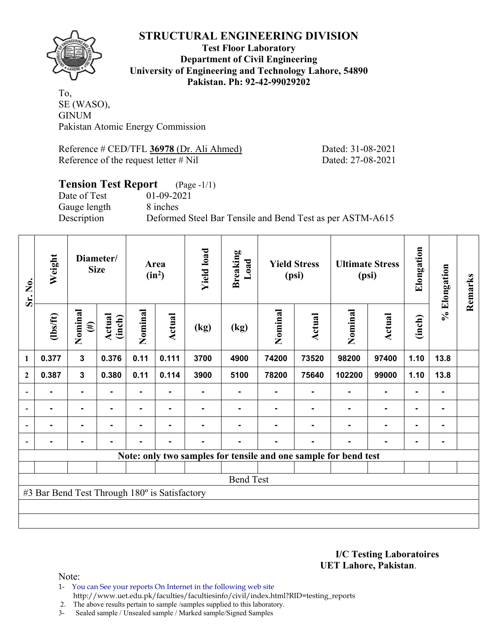

### **Test Floor Laboratory Department of Civil Engineering University of Engineering and Technology Lahore, 54890 Pakistan. Ph: 92-42-99029202**

To, SE (WASO), **GINUM** Pakistan Atomic Energy Commission

Reference # CED/TFL **36978** (Dr. Ali Ahmed) Dated: 31-08-2021 Reference of the request letter # Nil Dated: 27-08-2021

### **Tension Test Report** (Page -1/1) Date of Test 01-09-2021 Gauge length 8 inches Description Deformed Steel Bar Tensile and Bend Test as per ASTM-A615

| Sr. No.          | Weight                                        |                   | Diameter/<br><b>Size</b> |                | Area<br>$(in^2)$ | <b>Yield load</b> | <b>Breaking</b><br>Load |         | <b>Yield Stress</b><br>(psi) |                                                                 | <b>Ultimate Stress</b><br>(psi) | Elongation     | % Elongation   | Remarks |
|------------------|-----------------------------------------------|-------------------|--------------------------|----------------|------------------|-------------------|-------------------------|---------|------------------------------|-----------------------------------------------------------------|---------------------------------|----------------|----------------|---------|
|                  | $\frac{2}{10}$                                | Nominal<br>$(\#)$ | Actual<br>(inch)         | Nominal        | Actual           | (kg)              | (kg)                    | Nominal | Actual                       | Nominal                                                         | <b>Actual</b>                   | (inch)         |                |         |
| $\mathbf{1}$     | 0.377                                         | $\mathbf{3}$      | 0.376                    | 0.11           | 0.111            | 3700              | 4900                    | 74200   | 73520                        | 98200                                                           | 97400                           | 1.10           | 13.8           |         |
| $\boldsymbol{2}$ | 0.387                                         | $\mathbf{3}$      | 0.380                    | 0.11           | 0.114            | 3900              | 5100                    | 78200   | 75640                        | 102200                                                          | 99000                           | 1.10           | 13.8           |         |
|                  |                                               | $\blacksquare$    |                          |                |                  |                   |                         |         |                              |                                                                 | $\blacksquare$                  | $\blacksquare$ |                |         |
|                  | $\blacksquare$                                | $\blacksquare$    | -                        | ۰              | $\blacksquare$   |                   |                         |         |                              |                                                                 | $\blacksquare$                  | $\blacksquare$ | $\blacksquare$ |         |
|                  | $\blacksquare$                                | $\blacksquare$    | $\blacksquare$           | ۰              | ٠                |                   | $\blacksquare$          |         | $\blacksquare$               | ۰                                                               | $\blacksquare$                  | $\blacksquare$ | $\blacksquare$ |         |
|                  |                                               | $\blacksquare$    | -                        | $\blacksquare$ | $\blacksquare$   |                   |                         |         |                              |                                                                 | $\blacksquare$                  | $\blacksquare$ |                |         |
|                  |                                               |                   |                          |                |                  |                   |                         |         |                              | Note: only two samples for tensile and one sample for bend test |                                 |                |                |         |
|                  |                                               |                   |                          |                |                  |                   |                         |         |                              |                                                                 |                                 |                |                |         |
|                  |                                               |                   |                          |                |                  |                   | <b>Bend Test</b>        |         |                              |                                                                 |                                 |                |                |         |
|                  | #3 Bar Bend Test Through 180° is Satisfactory |                   |                          |                |                  |                   |                         |         |                              |                                                                 |                                 |                |                |         |
|                  |                                               |                   |                          |                |                  |                   |                         |         |                              |                                                                 |                                 |                |                |         |
|                  |                                               |                   |                          |                |                  |                   |                         |         |                              |                                                                 |                                 |                |                |         |

**I/C Testing Laboratoires UET Lahore, Pakistan**.

- 1- You can See your reports On Internet in the following web site http://www.uet.edu.pk/faculties/facultiesinfo/civil/index.html?RID=testing\_reports
- 2. The above results pertain to sample /samples supplied to this laboratory.
- 3- Sealed sample / Unsealed sample / Marked sample/Signed Samples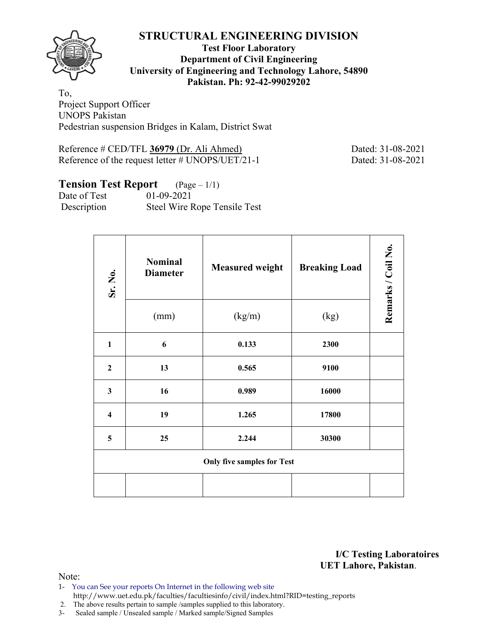

### **Test Floor Laboratory Department of Civil Engineering University of Engineering and Technology Lahore, 54890 Pakistan. Ph: 92-42-99029202**

To, Project Support Officer UNOPS Pakistan Pedestrian suspension Bridges in Kalam, District Swat

Reference # CED/TFL **36979** (Dr. Ali Ahmed) Dated: 31-08-2021 Reference of the request letter # UNOPS/UET/21-1 Dated: 31-08-2021

# **Tension Test Report** (Page – 1/1)

Date of Test 01-09-2021 Description Steel Wire Rope Tensile Test

| Sr. No.                 | <b>Nominal</b><br><b>Diameter</b> | <b>Measured weight</b>            | <b>Breaking Load</b> | Remarks / Coil No. |
|-------------------------|-----------------------------------|-----------------------------------|----------------------|--------------------|
|                         | (mm)                              | (kg/m)                            | (kg)                 |                    |
| $\mathbf{1}$            | 6                                 | 0.133                             | 2300                 |                    |
| $\mathbf{2}$            | 13                                | 0.565                             | 9100                 |                    |
| $\mathbf{3}$            | 16                                | 0.989                             | 16000                |                    |
| $\overline{\mathbf{4}}$ | 19                                | 1.265                             | 17800                |                    |
| 5                       | 25                                | 2.244                             | 30300                |                    |
|                         |                                   | <b>Only five samples for Test</b> |                      |                    |
|                         |                                   |                                   |                      |                    |

**I/C Testing Laboratoires UET Lahore, Pakistan**.

- 1- You can See your reports On Internet in the following web site http://www.uet.edu.pk/faculties/facultiesinfo/civil/index.html?RID=testing\_reports
- 2. The above results pertain to sample /samples supplied to this laboratory.
- 3- Sealed sample / Unsealed sample / Marked sample/Signed Samples